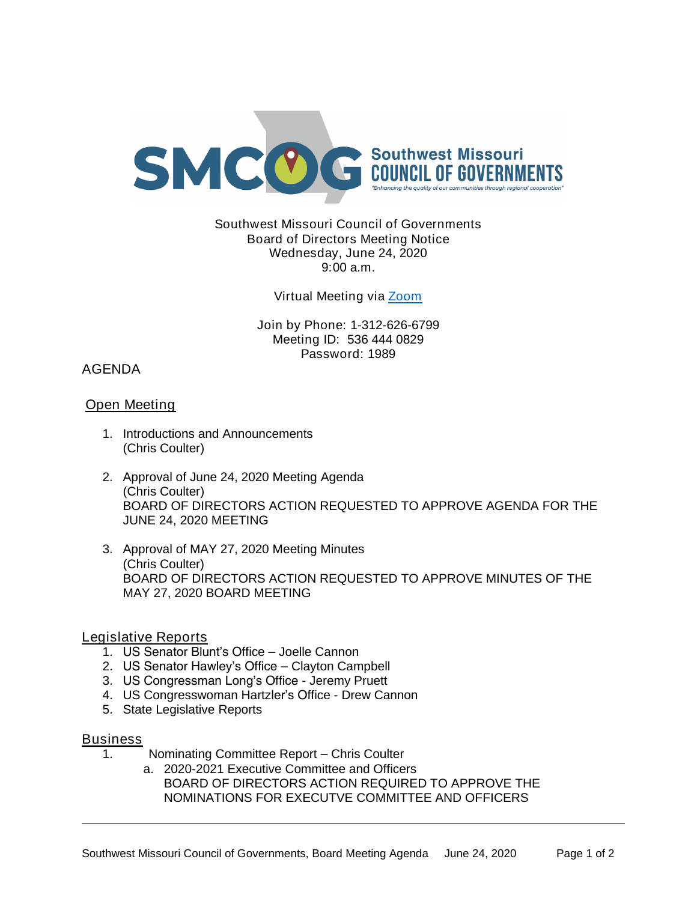

## Southwest Missouri Council of Governments Board of Directors Meeting Notice Wednesday, June 24, 2020 9:00 a.m.

## Virtual Meeting via [Zoom](https://missouristate.zoom.us/j/5364440829?pwd=MlUzbmJKSXllVENpRndadjlEMThmZz09)

Join by Phone: 1-312-626-6799 Meeting ID: 536 444 0829 Password: 1989

# AGENDA

## Open Meeting

- 1. Introductions and Announcements (Chris Coulter)
- 2. Approval of June 24, 2020 Meeting Agenda (Chris Coulter) BOARD OF DIRECTORS ACTION REQUESTED TO APPROVE AGENDA FOR THE JUNE 24, 2020 MEETING
- 3. Approval of MAY 27, 2020 Meeting Minutes (Chris Coulter) BOARD OF DIRECTORS ACTION REQUESTED TO APPROVE MINUTES OF THE MAY 27, 2020 BOARD MEETING

## Legislative Reports

- 1. US Senator Blunt's Office Joelle Cannon
- 2. US Senator Hawley's Office Clayton Campbell
- 3. US Congressman Long's Office Jeremy Pruett
- 4. US Congresswoman Hartzler's Office Drew Cannon
- 5. State Legislative Reports

### **Business**

- 1. Nominating Committee Report Chris Coulter
	- a. 2020-2021 Executive Committee and Officers BOARD OF DIRECTORS ACTION REQUIRED TO APPROVE THE NOMINATIONS FOR EXECUTVE COMMITTEE AND OFFICERS